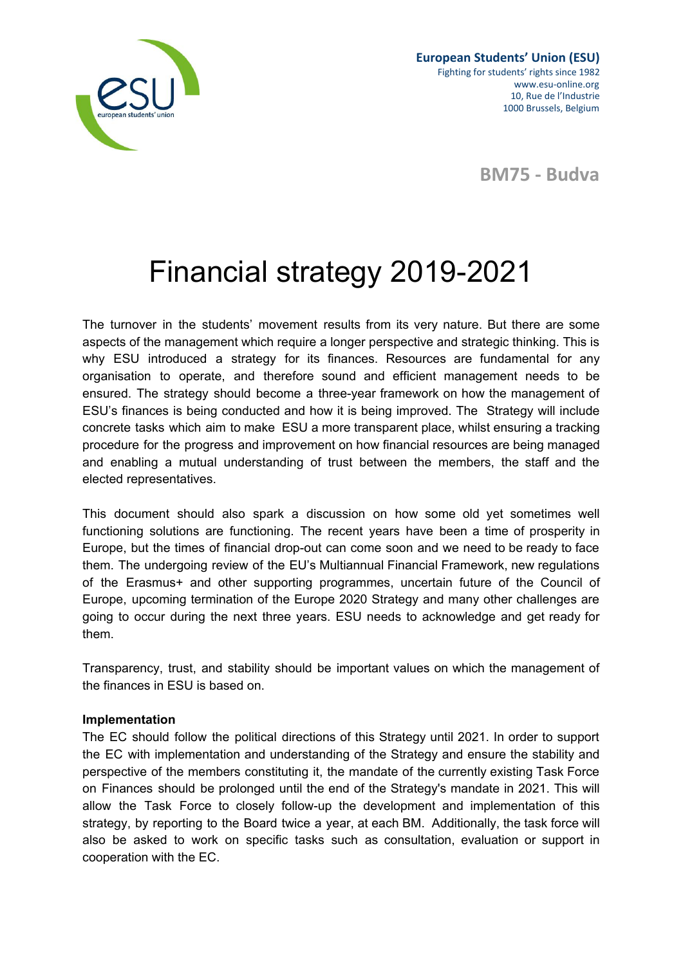

**BM75 - Budva**

# Financial strategy 2019-2021

The turnover in the students' movement results from its very nature. But there are some aspects of the management which require a longer perspective and strategic thinking. This is why ESU introduced a strategy for its finances. Resources are fundamental for any organisation to operate, and therefore sound and efficient management needs to be ensured. The strategy should become a three-year framework on how the management of ESU's finances is being conducted and how it is being improved. The Strategy will include concrete tasks which aim to make ESU a more transparent place, whilst ensuring a tracking procedure for the progress and improvement on how financial resources are being managed and enabling a mutual understanding of trust between the members, the staff and the elected representatives.

This document should also spark a discussion on how some old yet sometimes well functioning solutions are functioning. The recent years have been a time of prosperity in Europe, but the times of financial drop-out can come soon and we need to be ready to face them. The undergoing review of the EU's Multiannual Financial Framework, new regulations of the Erasmus+ and other supporting programmes, uncertain future of the Council of Europe, upcoming termination of the Europe 2020 Strategy and many other challenges are going to occur during the next three years. ESU needs to acknowledge and get ready for them.

Transparency, trust, and stability should be important values on which the management of the finances in ESU is based on.

## **Implementation**

The EC should follow the political directions of this Strategy until 2021. In order to support the EC with implementation and understanding of the Strategy and ensure the stability and perspective of the members constituting it, the mandate of the currently existing Task Force on Finances should be prolonged until the end of the Strategy's mandate in 2021. This will allow the Task Force to closely follow-up the development and implementation of this strategy, by reporting to the Board twice a year, at each BM. Additionally, the task force will also be asked to work on specific tasks such as consultation, evaluation or support in cooperation with the EC.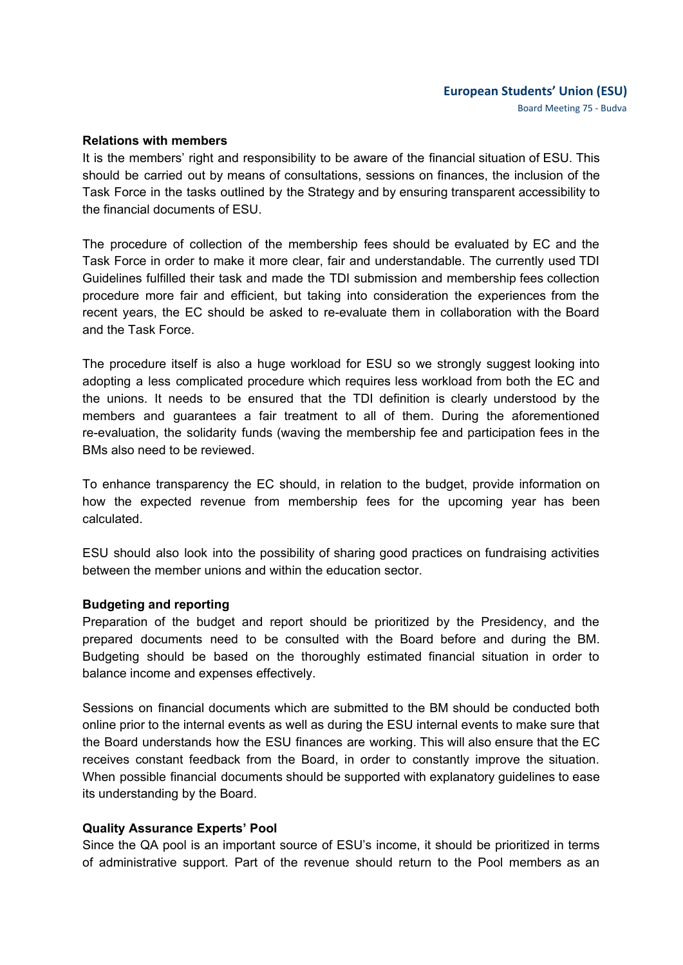## **European Students' Union (ESU)** Board Meeting 75 - Budva

#### **Relations with members**

It is the members' right and responsibility to be aware of the financial situation of ESU. This should be carried out by means of consultations, sessions on finances, the inclusion of the Task Force in the tasks outlined by the Strategy and by ensuring transparent accessibility to the financial documents of ESU.

The procedure of collection of the membership fees should be evaluated by EC and the Task Force in order to make it more clear, fair and understandable. The currently used TDI Guidelines fulfilled their task and made the TDI submission and membership fees collection procedure more fair and efficient, but taking into consideration the experiences from the recent years, the EC should be asked to re-evaluate them in collaboration with the Board and the Task Force.

The procedure itself is also a huge workload for ESU so we strongly suggest looking into adopting a less complicated procedure which requires less workload from both the EC and the unions. It needs to be ensured that the TDI definition is clearly understood by the members and guarantees a fair treatment to all of them. During the aforementioned re-evaluation, the solidarity funds (waving the membership fee and participation fees in the BMs also need to be reviewed.

To enhance transparency the EC should, in relation to the budget, provide information on how the expected revenue from membership fees for the upcoming year has been calculated.

ESU should also look into the possibility of sharing good practices on fundraising activities between the member unions and within the education sector.

#### **Budgeting and reporting**

Preparation of the budget and report should be prioritized by the Presidency, and the prepared documents need to be consulted with the Board before and during the BM. Budgeting should be based on the thoroughly estimated financial situation in order to balance income and expenses effectively.

Sessions on financial documents which are submitted to the BM should be conducted both online prior to the internal events as well as during the ESU internal events to make sure that the Board understands how the ESU finances are working. This will also ensure that the EC receives constant feedback from the Board, in order to constantly improve the situation. When possible financial documents should be supported with explanatory guidelines to ease its understanding by the Board.

#### **Quality Assurance Experts' Pool**

Since the QA pool is an important source of ESU's income, it should be prioritized in terms of administrative support. Part of the revenue should return to the Pool members as an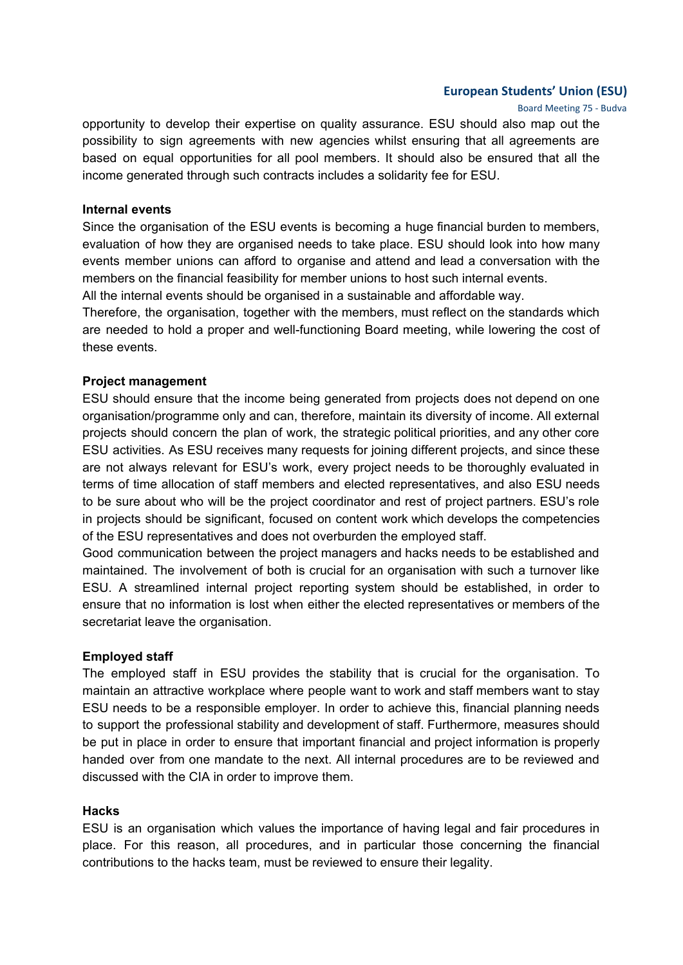## **European Students' Union (ESU)**

Board Meeting 75 - Budva

opportunity to develop their expertise on quality assurance. ESU should also map out the possibility to sign agreements with new agencies whilst ensuring that all agreements are based on equal opportunities for all pool members. It should also be ensured that all the income generated through such contracts includes a solidarity fee for ESU.

### **Internal events**

Since the organisation of the ESU events is becoming a huge financial burden to members, evaluation of how they are organised needs to take place. ESU should look into how many events member unions can afford to organise and attend and lead a conversation with the members on the financial feasibility for member unions to host such internal events.

All the internal events should be organised in a sustainable and affordable way.

Therefore, the organisation, together with the members, must reflect on the standards which are needed to hold a proper and well-functioning Board meeting, while lowering the cost of these events.

## **Project management**

ESU should ensure that the income being generated from projects does not depend on one organisation/programme only and can, therefore, maintain its diversity of income. All external projects should concern the plan of work, the strategic political priorities, and any other core ESU activities. As ESU receives many requests for joining different projects, and since these are not always relevant for ESU's work, every project needs to be thoroughly evaluated in terms of time allocation of staff members and elected representatives, and also ESU needs to be sure about who will be the project coordinator and rest of project partners. ESU's role in projects should be significant, focused on content work which develops the competencies of the ESU representatives and does not overburden the employed staff.

Good communication between the project managers and hacks needs to be established and maintained. The involvement of both is crucial for an organisation with such a turnover like ESU. A streamlined internal project reporting system should be established, in order to ensure that no information is lost when either the elected representatives or members of the secretariat leave the organisation.

## **Employed staff**

The employed staff in ESU provides the stability that is crucial for the organisation. To maintain an attractive workplace where people want to work and staff members want to stay ESU needs to be a responsible employer. In order to achieve this, financial planning needs to support the professional stability and development of staff. Furthermore, measures should be put in place in order to ensure that important financial and project information is properly handed over from one mandate to the next. All internal procedures are to be reviewed and discussed with the CIA in order to improve them.

## **Hacks**

ESU is an organisation which values the importance of having legal and fair procedures in place. For this reason, all procedures, and in particular those concerning the financial contributions to the hacks team, must be reviewed to ensure their legality.